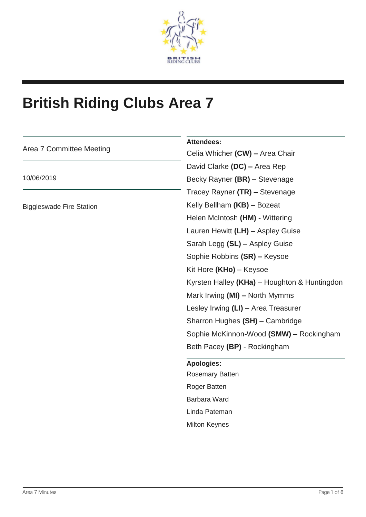

# **British Riding Clubs Area 7**

| Area 7 Committee Meeting        | <b>Attendees:</b>                            |
|---------------------------------|----------------------------------------------|
|                                 | Celia Whicher (CW) - Area Chair              |
| 10/06/2019                      | David Clarke (DC) - Area Rep                 |
|                                 | Becky Rayner (BR) - Stevenage                |
|                                 | Tracey Rayner (TR) - Stevenage               |
| <b>Biggleswade Fire Station</b> | Kelly Bellham (KB) - Bozeat                  |
|                                 | Helen McIntosh (HM) - Wittering              |
|                                 | Lauren Hewitt (LH) - Aspley Guise            |
|                                 | Sarah Legg (SL) - Aspley Guise               |
|                                 | Sophie Robbins (SR) - Keysoe                 |
|                                 | Kit Hore (KHo) - Keysoe                      |
|                                 | Kyrsten Halley (KHa) - Houghton & Huntingdon |
|                                 | Mark Irwing (MI) - North Mymms               |
|                                 | Lesley Irwing (LI) - Area Treasurer          |
|                                 | Sharron Hughes (SH) - Cambridge              |
|                                 | Sophie McKinnon-Wood (SMW) - Rockingham      |
|                                 | Beth Pacey (BP) - Rockingham                 |
|                                 | <b>Apologies:</b>                            |
|                                 | <b>Rosemary Batten</b>                       |
|                                 | Roger Batten                                 |
|                                 | Barbara Ward                                 |
|                                 | Linda Pateman                                |
|                                 | <b>Milton Keynes</b>                         |
|                                 |                                              |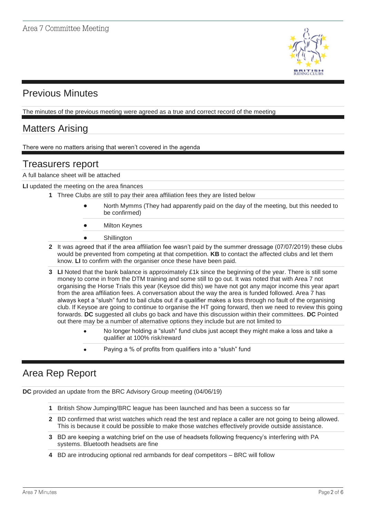

# Previous Minutes

The minutes of the previous meeting were agreed as a true and correct record of the meeting

# Matters Arising

There were no matters arising that weren't covered in the agenda

### Treasurers report

A full balance sheet will be attached

**LI** updated the meeting on the area finances

- **1** Three Clubs are still to pay their area affiliation fees they are listed below
	- North Mymms (They had apparently paid on the day of the meeting, but this needed to be confirmed)
	- **Milton Keynes**
	- **Shillington**
- **2** It was agreed that if the area affiliation fee wasn't paid by the summer dressage (07/07/2019) these clubs would be prevented from competing at that competition. **KB** to contact the affected clubs and let them know. **LI** to confirm with the organiser once these have been paid.
- **3 LI** Noted that the bank balance is approximately £1k since the beginning of the year. There is still some money to come in from the DTM training and some still to go out. It was noted that with Area 7 not organising the Horse Trials this year (Keysoe did this) we have not got any major income this year apart from the area affiliation fees. A conversation about the way the area is funded followed. Area 7 has always kept a "slush" fund to bail clubs out if a qualifier makes a loss through no fault of the organising club. If Keysoe are going to continue to organise the HT going forward, then we need to review this going forwards. **DC** suggested all clubs go back and have this discussion within their committees. **DC** Pointed out there may be a number of alternative options they include but are not limited to
	- No longer holding a "slush" fund clubs just accept they might make a loss and take a qualifier at 100% risk/reward
	- Paying a % of profits from qualifiers into a "slush" fund

# Area Rep Report

**DC** provided an update from the BRC Advisory Group meeting (04/06/19)

- **1** British Show Jumping/BRC league has been launched and has been a success so far
- **2** BD confirmed that wrist watches which read the test and replace a caller are not going to being allowed. This is because it could be possible to make those watches effectively provide outside assistance.
- **3** BD are keeping a watching brief on the use of headsets following frequency's interfering with PA systems. Bluetooth headsets are fine
- **4** BD are introducing optional red armbands for deaf competitors BRC will follow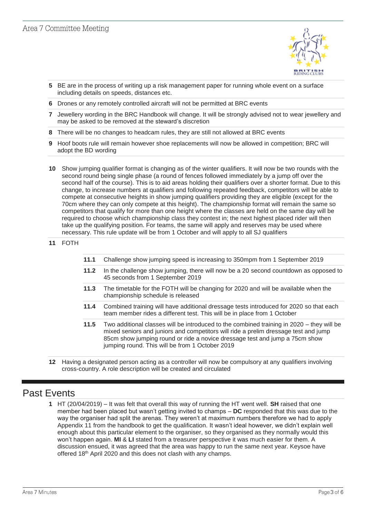

- **5** BE are in the process of writing up a risk management paper for running whole event on a surface including details on speeds, distances etc.
- **6** Drones or any remotely controlled aircraft will not be permitted at BRC events
- **7** Jewellery wording in the BRC Handbook will change. It will be strongly advised not to wear jewellery and may be asked to be removed at the steward's discretion
- **8** There will be no changes to headcam rules, they are still not allowed at BRC events
- **9** Hoof boots rule will remain however shoe replacements will now be allowed in competition; BRC will adopt the BD wording
- **10** Show jumping qualifier format is changing as of the winter qualifiers. It will now be two rounds with the second round being single phase (a round of fences followed immediately by a jump off over the second half of the course). This is to aid areas holding their qualifiers over a shorter format. Due to this change, to increase numbers at qualifiers and following repeated feedback, competitors will be able to compete at consecutive heights in show jumping qualifiers providing they are eligible (except for the 70cm where they can only compete at this height). The championship format will remain the same so competitors that qualify for more than one height where the classes are held on the same day will be required to choose which championship class they contest in; the next highest placed rider will then take up the qualifying position. For teams, the same will apply and reserves may be used where necessary. This rule update will be from 1 October and will apply to all SJ qualifiers

#### **11** FOTH

- **11.1** Challenge show jumping speed is increasing to 350mpm from 1 September 2019
- **11.2** In the challenge show jumping, there will now be a 20 second countdown as opposed to 45 seconds from 1 September 2019
- **11.3** The timetable for the FOTH will be changing for 2020 and will be available when the championship schedule is released
- **11.4** Combined training will have additional dressage tests introduced for 2020 so that each team member rides a different test. This will be in place from 1 October
- **11.5** Two additional classes will be introduced to the combined training in 2020 they will be mixed seniors and juniors and competitors will ride a prelim dressage test and jump 85cm show jumping round or ride a novice dressage test and jump a 75cm show jumping round. This will be from 1 October 2019
- **12** Having a designated person acting as a controller will now be compulsory at any qualifiers involving cross-country. A role description will be created and circulated

# Past Events

**1** HT (20/04/2019) – It was felt that overall this way of running the HT went well. **SH** raised that one member had been placed but wasn't getting invited to champs – **DC** responded that this was due to the way the organiser had split the arenas. They weren't at maximum numbers therefore we had to apply Appendix 11 from the handbook to get the qualification. It wasn't ideal however, we didn't explain well enough about this particular element to the organiser, so they organised as they normally would this won't happen again. **MI** & **LI** stated from a treasurer perspective it was much easier for them. A discussion ensued, it was agreed that the area was happy to run the same next year. Keysoe have offered 18<sup>th</sup> April 2020 and this does not clash with any champs.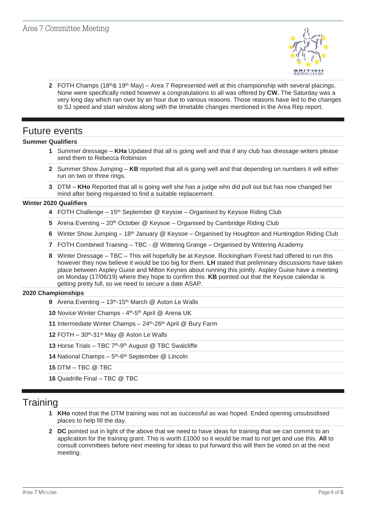

**2** FOTH Champs  $(18<sup>th</sup> \& 19<sup>th</sup> \text{ May}) - \text{Area 7 Represented well at this championship with several placings.$ None were specifically noted however a congratulations to all was offered by **CW.** The Saturday was a very long day which ran over by an hour due to various reasons. Those reasons have led to the changes to SJ speed and start window along with the timetable changes mentioned in the Area Rep report.

### Future events

#### **Summer Qualifiers**

- **1** Summer dressage **KHa** Updated that all is going well and that if any club has dressage writers please send them to Rebecca Robinson
- **2** Summer Show Jumping **KB** reported that all is going well and that depending on numbers it will either run on two or three rings.
- **3** DTM **KHo** Reported that all is going well she has a judge who did pull out but has now changed her mind after being requested to find a suitable replacement.

#### **Winter 2020 Qualifiers**

- **4** FOTH Challenge 15th September @ Keysoe Organised by Keysoe Riding Club
- **5** Arena Eventing 20<sup>th</sup> October @ Keysoe Organised by Cambridge Riding Club
- **6** Winter Show Jumping 18th January @ Keysoe Organised by Houghton and Huntingdon Riding Club
- **7** FOTH Combined Training TBC @ Wittering Grange Organised by Wittering Academy
- **8** Winter Dressage TBC This will hopefully be at Keysoe. Rockingham Forest had offered to run this however they now believe it would be too big for them. **LH** stated that preliminary discussions have taken place between Aspley Guise and Milton Keynes about running this jointly. Aspley Guise have a meeting on Monday (17/06/19) where they hope to confirm this. **KB** pointed out that the Keysoe calendar is getting pretty full, so we need to secure a date ASAP.

#### **2020 Championships**

**9** Arena Eventing – 13th-15th March @ Aston Le Walls

**10** Novice Winter Champs - 4<sup>th</sup>-5<sup>th</sup> April @ Arena UK

**11** Intermediate Winter Champs – 24<sup>th</sup>-26<sup>th</sup> April @ Bury Farm

**12** FOTH – 30th-31st May @ Aston Le Walls

13 Horse Trials - TBC 7<sup>th</sup>-9<sup>th</sup> August @ TBC Swalcliffe

14 National Champs – 5<sup>th</sup>-6<sup>th</sup> September @ Lincoln

**15** DTM – TBC @ TBC

**16** Quadrille Final – TBC @ TBC

### **Training**

- **1 KHo** noted that the DTM training was not as successful as was hoped. Ended opening unsubsidised places to help fill the day.
- **2 DC** pointed out in light of the above that we need to have ideas for training that we can commit to an application for the training grant. This is worth £1000 so it would be mad to not get and use this. **All** to consult committees before next meeting for ideas to put forward this will then be voted on at the next meeting.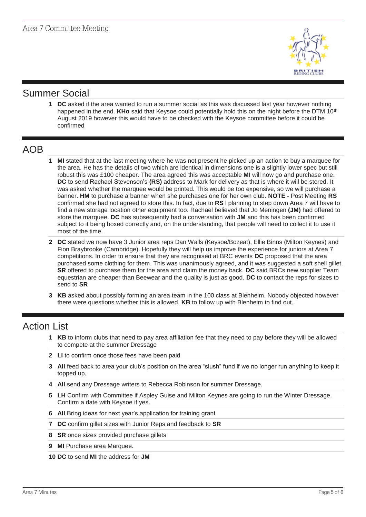

## Summer Social

**1 DC** asked if the area wanted to run a summer social as this was discussed last year however nothing happened in the end. KHo said that Keysoe could potentially hold this on the night before the DTM 10<sup>th</sup> August 2019 however this would have to be checked with the Keysoe committee before it could be confirmed

### AOB

- **1 MI** stated that at the last meeting where he was not present he picked up an action to buy a marquee for the area. He has the details of two which are identical in dimensions one is a slightly lower spec but still robust this was £100 cheaper. The area agreed this was acceptable **MI** will now go and purchase one. **DC** to send Rachael Stevenson's **(RS)** address to Mark for delivery as that is where it will be stored. It was asked whether the marquee would be printed. This would be too expensive, so we will purchase a banner. **HM** to purchase a banner when she purchases one for her own club. **NOTE -** Post Meeting **RS** confirmed she had not agreed to store this. In fact, due to **RS** l planning to step down Area 7 will have to find a new storage location other equipment too. Rachael believed that Jo Meningen **(JM)** had offered to store the marquee. **DC** has subsequently had a conversation with **JM** and this has been confirmed subject to it being boxed correctly and, on the understanding, that people will need to collect it to use it most of the time.
- **2 DC** stated we now have 3 Junior area reps Dan Walls (Keysoe/Bozeat), Ellie Binns (Milton Keynes) and Fion Braybrooke (Cambridge). Hopefully they will help us improve the experience for juniors at Area 7 competitions. In order to ensure that they are recognised at BRC events **DC** proposed that the area purchased some clothing for them. This was unanimously agreed, and it was suggested a soft shell gillet. **SR** offered to purchase them for the area and claim the money back. **DC** said BRCs new supplier Team equestrian are cheaper than Beewear and the quality is just as good. **DC** to contact the reps for sizes to send to **SR**
- **3 KB** asked about possibly forming an area team in the 100 class at Blenheim. Nobody objected however there were questions whether this is allowed. **KB** to follow up with Blenheim to find out.

### Action List

- **1 KB** to inform clubs that need to pay area affiliation fee that they need to pay before they will be allowed to compete at the summer Dressage
- **2 LI** to confirm once those fees have been paid
- **3 All** feed back to area your club's position on the area "slush" fund if we no longer run anything to keep it topped up.
- **4 All** send any Dressage writers to Rebecca Robinson for summer Dressage.
- **5 LH** Confirm with Committee if Aspley Guise and Milton Keynes are going to run the Winter Dressage. Confirm a date with Keysoe if yes.
- **6 All** Bring ideas for next year's application for training grant
- **7 DC** confirm gillet sizes with Junior Reps and feedback to **SR**
- **8 SR** once sizes provided purchase gillets
- **9 MI** Purchase area Marquee.
- **10 DC** to send **MI** the address for **JM**